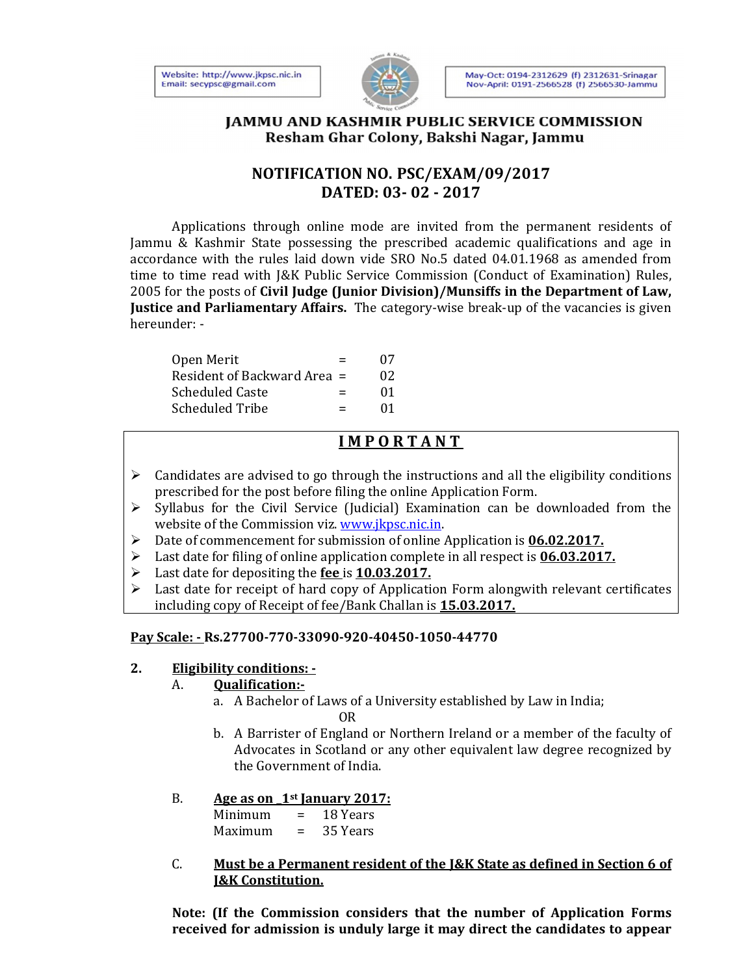



## **JAMMU AND KASHMIR PUBLIC SERVICE COMMISSION** Resham Ghar Colony, Bakshi Nagar, Jammu

## **NOTIFICATION NO. PSC/EXAM/09/2017 DATED: 03- 02 - 2017**

 Applications through online mode are invited from the permanent residents of Jammu & Kashmir State possessing the prescribed academic qualifications and age in accordance with the rules laid down vide SRO No.5 dated 04.01.1968 as amended from time to time read with J&K Public Service Commission (Conduct of Examination) Rules, 2005 for the posts of **Civil Judge (Junior Division)/Munsiffs in the Department of Law, Justice and Parliamentary Affairs.** The category-wise break-up of the vacancies is given hereunder: -

| Open Merit                  | $=$ | 07 |
|-----------------------------|-----|----|
| Resident of Backward Area = |     | 02 |
| Scheduled Caste             | $=$ | 01 |
| <b>Scheduled Tribe</b>      | $=$ | 01 |

# **I M P O R T A N T**

- $\triangleright$  Candidates are advised to go through the instructions and all the eligibility conditions prescribed for the post before filing the online Application Form.
- $\triangleright$  Syllabus for the Civil Service (Judicial) Examination can be downloaded from the website of the Commission viz. www.jkpsc.nic.in.
- Date of commencement for submission of online Application is **06.02.2017.**
- Last date for filing of online application complete in all respect is **06.03.2017.**
- Last date for depositing the **fee** is **10.03.2017.**
- $\triangleright$  Last date for receipt of hard copy of Application Form alongwith relevant certificates including copy of Receipt of fee/Bank Challan is **15.03.2017.**

## **Pay Scale: - Rs.27700-770-33090-920-40450-1050-44770**

#### **2. Eligibility conditions: -**

#### A. **Qualification:-**

- a. A Bachelor of Laws of a University established by Law in India; OR
	- b. A Barrister of England or Northern Ireland or a member of the faculty of Advocates in Scotland or any other equivalent law degree recognized by the Government of India.

## B. **Age as on \_1st January 2017:**

Minimum = 18 Years Maximum = 35 Years

C. **Must be a Permanent resident of the J&K State as defined in Section 6 of J&K Constitution.** 

**Note: (If the Commission considers that the number of Application Forms received for admission is unduly large it may direct the candidates to appear**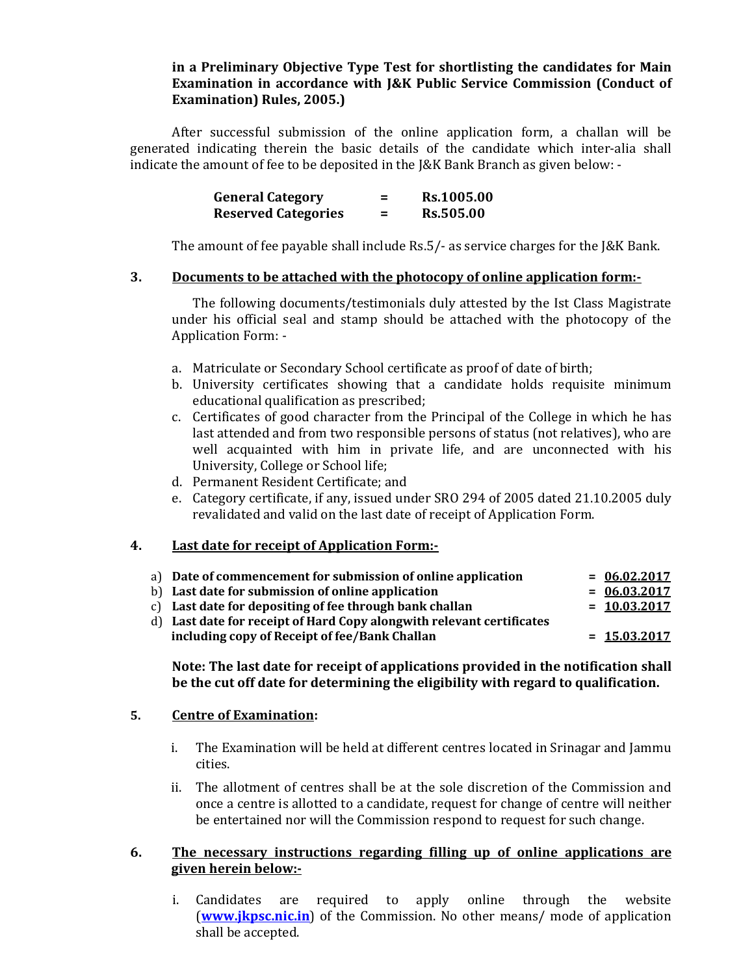#### **in a Preliminary Objective Type Test for shortlisting the candidates for Main Examination in accordance with J&K Public Service Commission (Conduct of Examination) Rules, 2005.)**

 After successful submission of the online application form, a challan will be generated indicating therein the basic details of the candidate which inter-alia shall indicate the amount of fee to be deposited in the J&K Bank Branch as given below: -

| <b>General Category</b>    | -   | Rs.1005.00       |
|----------------------------|-----|------------------|
| <b>Reserved Categories</b> | $=$ | <b>Rs.505.00</b> |

The amount of fee payable shall include Rs.5/- as service charges for the J&K Bank.

#### **3. Documents to be attached with the photocopy of online application form:-**

The following documents/testimonials duly attested by the Ist Class Magistrate under his official seal and stamp should be attached with the photocopy of the Application Form: -

- a. Matriculate or Secondary School certificate as proof of date of birth;
- b. University certificates showing that a candidate holds requisite minimum educational qualification as prescribed;
- c. Certificates of good character from the Principal of the College in which he has last attended and from two responsible persons of status (not relatives), who are well acquainted with him in private life, and are unconnected with his University, College or School life;
- d. Permanent Resident Certificate; and
- e. Category certificate, if any, issued under SRO 294 of 2005 dated 21.10.2005 duly revalidated and valid on the last date of receipt of Application Form.

#### **4. Last date for receipt of Application Form:-**

| a) Date of commencement for submission of online application          | $= 06.02.2017$ |
|-----------------------------------------------------------------------|----------------|
| b) Last date for submission of online application                     | $= 06.03.2017$ |
| c) Last date for depositing of fee through bank challan               | $= 10.03.2017$ |
| d) Last date for receipt of Hard Copy alongwith relevant certificates |                |
| including copy of Receipt of fee/Bank Challan                         | $= 15.03.2017$ |
|                                                                       |                |

#### **Note: The last date for receipt of applications provided in the notification shall be the cut off date for determining the eligibility with regard to qualification.**

#### **5. Centre of Examination:**

- i. The Examination will be held at different centres located in Srinagar and Jammu cities.
- ii. The allotment of centres shall be at the sole discretion of the Commission and once a centre is allotted to a candidate, request for change of centre will neither be entertained nor will the Commission respond to request for such change.

#### **6. The necessary instructions regarding filling up of online applications are given herein below:-**

i. Candidates are required to apply online through the website (**www.jkpsc.nic.in**) of the Commission. No other means/ mode of application shall be accepted.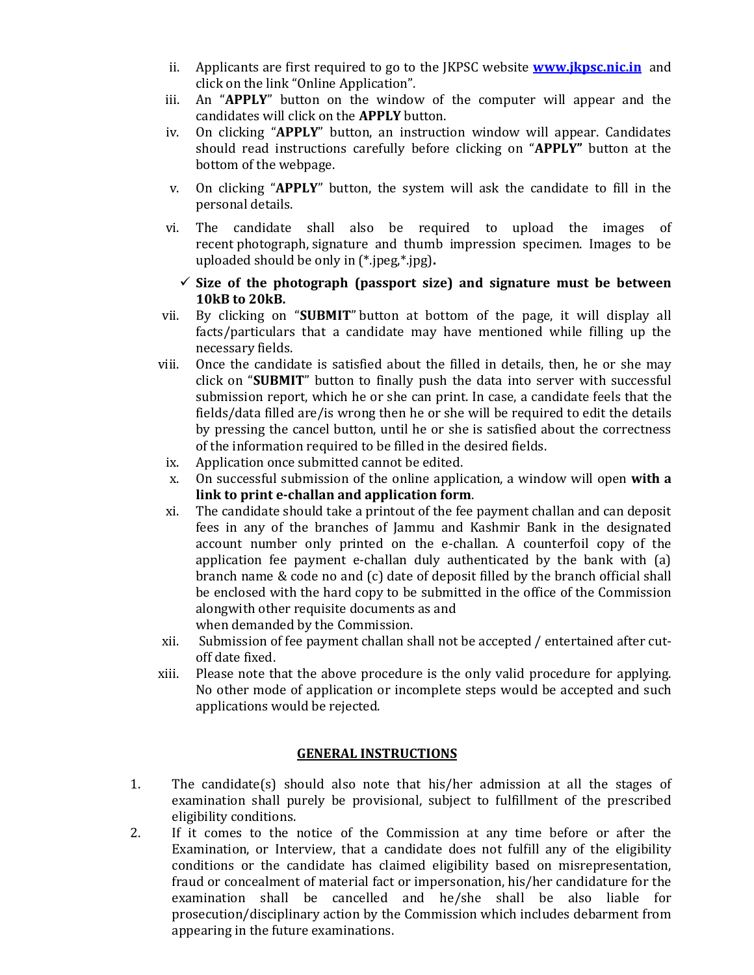- ii. Applicants are first required to go to the JKPSC website **www.jkpsc.nic.in** and click on the link "Online Application".
- iii. An "**APPLY**" button on the window of the computer will appear and the candidates will click on the **APPLY** button.
- iv. On clicking "**APPLY**" button, an instruction window will appear. Candidates should read instructions carefully before clicking on "**APPLY"** button at the bottom of the webpage.
- v. On clicking "**APPLY**" button, the system will ask the candidate to fill in the personal details.
- vi. The candidate shall also be required to upload the images of recent photograph, signature and thumb impression specimen. Images to be uploaded should be only in (\*.jpeg,\*.jpg)**.** 
	- **Size of the photograph (passport size) and signature must be between 10kB to 20kB.**
- vii. By clicking on "**SUBMIT**" button at bottom of the page, it will display all facts/particulars that a candidate may have mentioned while filling up the necessary fields.
- viii. Once the candidate is satisfied about the filled in details, then, he or she may click on "**SUBMIT**" button to finally push the data into server with successful submission report, which he or she can print. In case, a candidate feels that the fields/data filled are/is wrong then he or she will be required to edit the details by pressing the cancel button, until he or she is satisfied about the correctness of the information required to be filled in the desired fields.
- ix. Application once submitted cannot be edited.
- x. On successful submission of the online application, a window will open **with a link to print e-challan and application form**.
- xi. The candidate should take a printout of the fee payment challan and can deposit fees in any of the branches of Jammu and Kashmir Bank in the designated account number only printed on the e-challan. A counterfoil copy of the application fee payment e-challan duly authenticated by the bank with (a) branch name & code no and (c) date of deposit filled by the branch official shall be enclosed with the hard copy to be submitted in the office of the Commission alongwith other requisite documents as and when demanded by the Commission.
- xii. Submission of fee payment challan shall not be accepted / entertained after cutoff date fixed.
- xiii. Please note that the above procedure is the only valid procedure for applying. No other mode of application or incomplete steps would be accepted and such applications would be rejected.

#### **GENERAL INSTRUCTIONS**

- 1. The candidate(s) should also note that his/her admission at all the stages of examination shall purely be provisional, subject to fulfillment of the prescribed eligibility conditions.
- 2. If it comes to the notice of the Commission at any time before or after the Examination, or Interview, that a candidate does not fulfill any of the eligibility conditions or the candidate has claimed eligibility based on misrepresentation, fraud or concealment of material fact or impersonation, his/her candidature for the examination shall be cancelled and he/she shall be also liable for prosecution/disciplinary action by the Commission which includes debarment from appearing in the future examinations.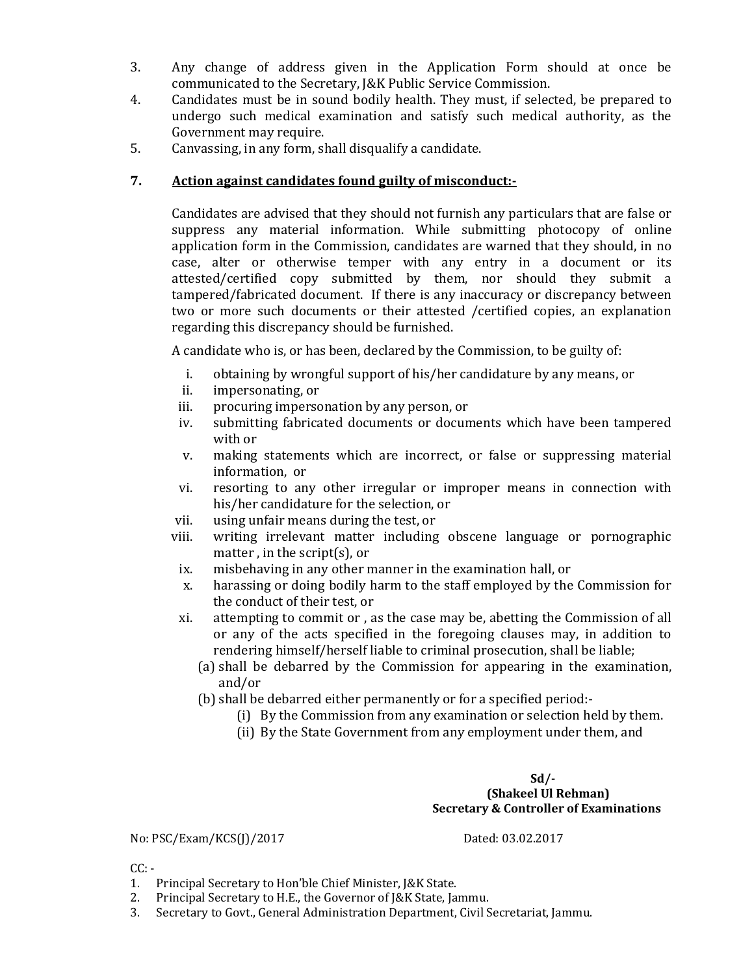- 3. Any change of address given in the Application Form should at once be communicated to the Secretary, J&K Public Service Commission.
- 4. Candidates must be in sound bodily health. They must, if selected, be prepared to undergo such medical examination and satisfy such medical authority, as the Government may require.
- 5. Canvassing, in any form, shall disqualify a candidate.

## **7. Action against candidates found guilty of misconduct:-**

Candidates are advised that they should not furnish any particulars that are false or suppress any material information. While submitting photocopy of online application form in the Commission, candidates are warned that they should, in no case, alter or otherwise temper with any entry in a document or its attested/certified copy submitted by them, nor should they submit a tampered/fabricated document. If there is any inaccuracy or discrepancy between two or more such documents or their attested /certified copies, an explanation regarding this discrepancy should be furnished.

A candidate who is, or has been, declared by the Commission, to be guilty of:

- i. obtaining by wrongful support of his/her candidature by any means, or
- ii. impersonating, or
- iii. procuring impersonation by any person, or
- iv. submitting fabricated documents or documents which have been tampered with or
- v. making statements which are incorrect, or false or suppressing material information, or
- vi. resorting to any other irregular or improper means in connection with his/her candidature for the selection, or
- vii. using unfair means during the test, or
- viii. writing irrelevant matter including obscene language or pornographic matter , in the script(s), or
- ix. misbehaving in any other manner in the examination hall, or
- x. harassing or doing bodily harm to the staff employed by the Commission for the conduct of their test, or
- xi. attempting to commit or , as the case may be, abetting the Commission of all or any of the acts specified in the foregoing clauses may, in addition to rendering himself/herself liable to criminal prosecution, shall be liable;
	- (a) shall be debarred by the Commission for appearing in the examination, and/or
	- (b) shall be debarred either permanently or for a specified period:-
		- (i) By the Commission from any examination or selection held by them.
		- (ii) By the State Government from any employment under them, and

#### **Sd/- (Shakeel Ul Rehman) Secretary & Controller of Examinations**

No: PSC/Exam/KCS(J)/2017 Dated: 03.02.2017

 $CC: -$ 

- 1. Principal Secretary to Hon'ble Chief Minister, J&K State.
- 2. Principal Secretary to H.E., the Governor of J&K State, Jammu.
- 3. Secretary to Govt., General Administration Department, Civil Secretariat, Jammu.